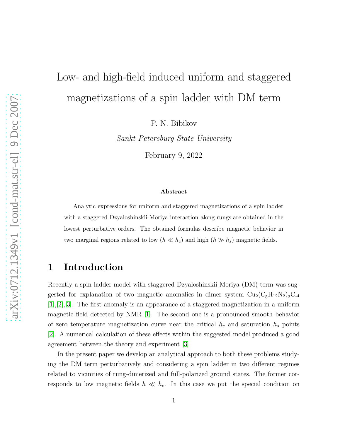# Low- and high-field induced uniform and staggered magnetizations of a spin ladder with DM term

P. N. Bibikov

Sankt-Petersburg State University

February 9, 2022

#### Abstract

Analytic expressions for uniform and staggered magnetizations of a spin ladder with a staggered Dzyaloshinskii-Moriya interaction along rungs are obtained in the lowest perturbative orders. The obtained formulas describe magnetic behavior in two marginal regions related to low  $(h \ll h_c)$  and high  $(h \gg h_s)$  magnetic fields.

### 1 Introduction

Recently a spin ladder model with staggered Dzyaloshinskii-Moriya (DM) term was suggested for explanation of two magnetic anomalies in dimer system  $\text{Cu}_2(\text{C}_5\text{H}_{12}\text{N}_2)_2\text{Cl}_4$ [\[1\]](#page-6-0),[\[2\]](#page-6-1),[\[3\]](#page-6-2). The first anomaly is an appearance of a staggered magnetization in a uniform magnetic field detected by NMR [\[1\]](#page-6-0). The second one is a pronounced smooth behavior of zero temperature magnetization curve near the critical  $h_c$  and saturation  $h_s$  points [\[2\]](#page-6-1). A numerical calculation of these effects within the suggested model produced a good agreement between the theory and experiment [\[3\]](#page-6-2).

In the present paper we develop an analytical approach to both these problems studying the DM term perturbatively and considering a spin ladder in two different regimes related to vicinities of rung-dimerized and full-polarized ground states. The former corresponds to low magnetic fields  $h \ll h_c$ . In this case we put the special condition on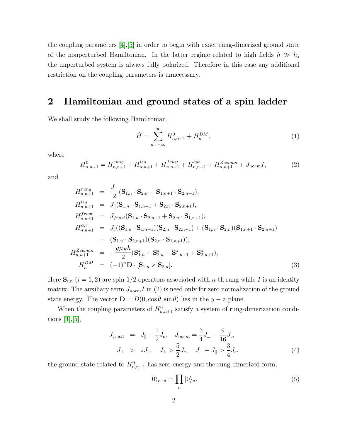the coupling parameters [\[4\]](#page-6-3),[\[5\]](#page-6-4) in order to begin with exact rung-dimerized ground state of the nonperturbed Hamiltonian. In the latter regime related to high fields  $h \gg h_s$ the unperturbed system is always fully polarized. Therefore in this case any additional restriction on the coupling parameters is unnecessary.

#### 2 Hamiltonian and ground states of a spin ladder

We shall study the following Hamiltonian,

$$
\hat{H} = \sum_{n=-\infty}^{\infty} H_{n,n+1}^0 + H_n^{DM},
$$
\n(1)

where

$$
H_{n,n+1}^{0} = H_{n,n+1}^{rung} + H_{n,n+1}^{leg} + H_{n,n+1}^{frust} + H_{n,n+1}^{cyc} + H_{n,n+1}^{Zeeman} + J_{norm}I,
$$
\n(2)

and

$$
H_{n,n+1}^{rung} = \frac{J_{\perp}}{2} (\mathbf{S}_{1,n} \cdot \mathbf{S}_{2,n} + \mathbf{S}_{1,n+1} \cdot \mathbf{S}_{2,n+1}),
$$
  
\n
$$
H_{n,n+1}^{leg} = J_{\parallel} (\mathbf{S}_{1,n} \cdot \mathbf{S}_{1,n+1} + \mathbf{S}_{2,n} \cdot \mathbf{S}_{2,n+1}),
$$
  
\n
$$
H_{n,n+1}^{frust} = J_{frust} (\mathbf{S}_{1,n} \cdot \mathbf{S}_{2,n+1} + \mathbf{S}_{2,n} \cdot \mathbf{S}_{1,n+1}),
$$
  
\n
$$
H_{n,n+1}^{cyc} = J_c ((\mathbf{S}_{1,n} \cdot \mathbf{S}_{1,n+1}) (\mathbf{S}_{2,n} \cdot \mathbf{S}_{2,n+1}) + (\mathbf{S}_{1,n} \cdot \mathbf{S}_{2,n}) (\mathbf{S}_{1,n+1} \cdot \mathbf{S}_{2,n+1})
$$
  
\n
$$
- (\mathbf{S}_{1,n} \cdot \mathbf{S}_{2,n+1}) (\mathbf{S}_{2,n} \cdot \mathbf{S}_{1,n+1})),
$$
  
\n
$$
H_{n,n+1}^{Zeeman} = -\frac{g\mu_B h}{2} (\mathbf{S}_{1,n}^z + \mathbf{S}_{2,n}^z + \mathbf{S}_{1,n+1}^z + \mathbf{S}_{2,n+1}^z),
$$
  
\n
$$
H_n^{DM} = (-1)^n \mathbf{D} \cdot [\mathbf{S}_{1,n} \times \mathbf{S}_{2,n}].
$$
  
\n(3)

Here  $S_{i,n}$  ( $i = 1, 2$ ) are spin-1/2 operators associated with *n*-th rung while I is an identity matrix. The auxiliary term  $J_{norm}I$  in (2) is need only for zero normalization of the ground state energy. The vector  $\mathbf{D} = D(0, \cos \theta, \sin \theta)$  lies in the  $y - z$  plane.

When the coupling parameters of  $H_{n,n+1}^0$  satisfy a system of rung-dimerization conditions  $[4], [5],$  $[4], [5],$  $[4], [5],$ 

$$
J_{frust} = J_{\parallel} - \frac{1}{2}J_c, \quad J_{norm} = \frac{3}{4}J_{\perp} - \frac{9}{16}J_c,
$$
  

$$
J_{\perp} > 2J_{\parallel}, \quad J_{\perp} > \frac{5}{2}J_c, \quad J_{\perp} + J_{\parallel} > \frac{3}{4}J_c.
$$
 (4)

the ground state related to  $H_{n,n+1}^0$  has zero energy and the rung-dimerized form,

$$
|0\rangle_{r-d} = \prod_{n} |0\rangle_n.
$$
 (5)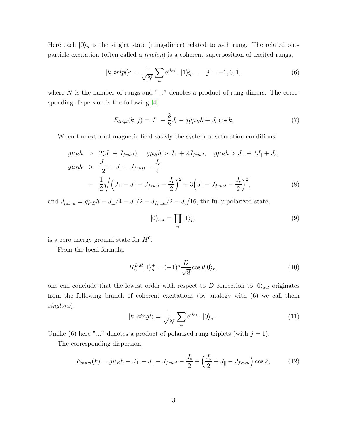Here each  $|0\rangle_n$  is the singlet state (rung-dimer) related to *n*-th rung. The related oneparticle excitation (often called a triplon) is a coherent superposition of excited rungs,

$$
|k, tripl\rangle^{j} = \frac{1}{\sqrt{N}} \sum_{n} e^{ikn} ... |1\rangle^{j}_{n} ... , \quad j = -1, 0, 1,
$$
 (6)

where  $N$  is the number of rungs and " $\ldots$ " denotes a product of rung-dimers. The corresponding dispersion is the following [\[4\]](#page-6-3),

$$
E_{tripl}(k,j) = J_{\perp} - \frac{3}{2}J_c - jg\mu_B h + J_c \cos k.
$$
 (7)

When the external magnetic field satisfy the system of saturation conditions,

$$
g\mu_B h > 2(J_{\parallel} + J_{frust}), \quad g\mu_B h > J_{\perp} + 2J_{frust}, \quad g\mu_B h > J_{\perp} + 2J_{\parallel} + J_c,
$$
  
\n
$$
g\mu_B h > \frac{J_{\perp}}{2} + J_{\parallel} + J_{frust} - \frac{J_c}{4}
$$
  
\n
$$
+ \frac{1}{2} \sqrt{\left(J_{\perp} - J_{\parallel} - J_{frust} - \frac{J_c}{2}\right)^2 + 3\left(J_{\parallel} - J_{frust} - \frac{J_c}{2}\right)^2},
$$
\n(8)

and  $J_{norm} = g\mu_B h - J_{\perp}/4 - J_{\parallel}/2 - J_{frust}/2 - J_c/16$ , the fully polarized state,

$$
|0\rangle_{sat} = \prod_{n} |1\rangle_{n}^{1},\tag{9}
$$

is a zero energy ground state for  $\hat{H}^0$ .

From the local formula,

$$
H_n^{DM}|1\rangle_n^+ = (-1)^n \frac{D}{\sqrt{8}} \cos \theta |0\rangle_n, \qquad (10)
$$

one can conclude that the lowest order with respect to D correction to  $|0\rangle_{sat}$  originates from the following branch of coherent excitations (by analogy with (6) we call them singlons),

$$
|k, singl\rangle = \frac{1}{\sqrt{N}} \sum_{n} e^{ikn} \dots |0\rangle_{n} \dots \tag{11}
$$

Unlike (6) here "..." denotes a product of polarized rung triplets (with  $j = 1$ ).

The corresponding dispersion,

$$
E_{singl}(k) = g\mu_B h - J_{\perp} - J_{\parallel} - J_{frust} - \frac{J_c}{2} + \left(\frac{J_c}{2} + J_{\parallel} - J_{frust}\right)\cos k,\tag{12}
$$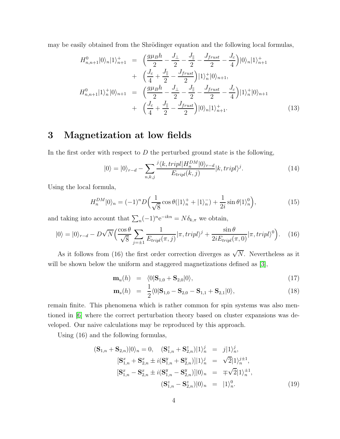may be easily obtained from the Shrödinger equation and the following local formulas,

$$
H_{n,n+1}^{0}|0\rangle_{n}|1\rangle_{n+1}^{+} = \left(\frac{g\mu_{B}h}{2} - \frac{J_{\perp}}{2} - \frac{J_{\parallel}}{2} - \frac{J_{frust}}{2} - \frac{J_{c}}{4}\right)|0\rangle_{n}|1\rangle_{n+1}^{+} + \left(\frac{J_{c}}{4} + \frac{J_{\parallel}}{2} - \frac{J_{frust}}{2}\right)|1\rangle_{n}^{+}|0\rangle_{n+1},
$$
  
\n
$$
H_{n,n+1}^{0}|1\rangle_{n}^{+}|0\rangle_{n+1} = \left(\frac{g\mu_{B}h}{2} - \frac{J_{\perp}}{2} - \frac{J_{\parallel}}{2} - \frac{J_{frust}}{2} - \frac{J_{c}}{4}\right)|1\rangle_{n}^{+}|0\rangle_{n+1} + \left(\frac{J_{c}}{4} + \frac{J_{\parallel}}{2} - \frac{J_{frust}}{2}\right)|0\rangle_{n}|1\rangle_{n+1}^{+}.
$$
\n(13)

#### 3 Magnetization at low fields

In the first order with respect to  $D$  the perturbed ground state is the following,

$$
|0\rangle = |0\rangle_{r-d} - \sum_{n,k,j} \frac{i \langle k, tripl | H_n^{DM} | 0 \rangle_{r-d}}{E_{tripl}(k,j)} |k, tripl\rangle^j.
$$
 (14)

Using the local formula,

$$
H_n^{DM}|0\rangle_n = (-1)^n D\Big(\frac{1}{\sqrt{8}}\cos\theta(|1\rangle_n^+ + |1\rangle_n^-) + \frac{1}{2i}\sin\theta|1\rangle_n^0\Big),\tag{15}
$$

and taking into account that  $\sum_{n} (-1)^{n} e^{-ikn} = N \delta_{k,\pi}$  we obtain,

$$
|0\rangle = |0\rangle_{r-d} - D\sqrt{N} \Big( \frac{\cos\theta}{\sqrt{8}} \sum_{j=\pm 1} \frac{1}{E_{tripl}(\pi, j)} |\pi, tripl\rangle^j + \frac{\sin\theta}{2iE_{tripl}(\pi, 0)} |\pi, tripl\rangle^0 \Big). \tag{16}
$$

As it follows from (16) the first order correction diverges as  $\sqrt{N}$ . Nevertheless as it will be shown below the uniform and staggered magnetizations defined as [\[3\]](#page-6-2),

$$
\mathbf{m}_u(h) = \langle 0|\mathbf{S}_{1,0} + \mathbf{S}_{2,0}|0\rangle, \tag{17}
$$

$$
\mathbf{m}_s(h) = \frac{1}{2} \langle 0 | \mathbf{S}_{1,0} - \mathbf{S}_{2,0} - \mathbf{S}_{1,1} + \mathbf{S}_{2,1} | 0 \rangle, \tag{18}
$$

remain finite. This phenomena which is rather common for spin systems was also mentioned in [\[6\]](#page-6-5) where the correct perturbation theory based on cluster expansions was developed. Our naive calculations may be reproduced by this approach.

Using (16) and the following formulas,

$$
(\mathbf{S}_{1,n} + \mathbf{S}_{2,n})|0\rangle_n = 0, \quad (\mathbf{S}_{1,n}^z + \mathbf{S}_{2,n}^z)|1\rangle_n^j = j|1\rangle_n^j,
$$
  
\n
$$
[\mathbf{S}_{1,n}^x + \mathbf{S}_{2,n}^x \pm i(\mathbf{S}_{1,n}^y + \mathbf{S}_{2,n}^y)]|1\rangle_n^j = \sqrt{2}|1\rangle_n^{j\pm 1},
$$
  
\n
$$
[\mathbf{S}_{1,n}^x - \mathbf{S}_{2,n}^x \pm i(\mathbf{S}_{1,n}^y - \mathbf{S}_{2,n}^y)]|0\rangle_n = \mp\sqrt{2}|1\rangle_n^{j\pm 1},
$$
  
\n
$$
(\mathbf{S}_{1,n}^z - \mathbf{S}_{2,n}^z)|0\rangle_n = |1\rangle_n^0.
$$
\n(19)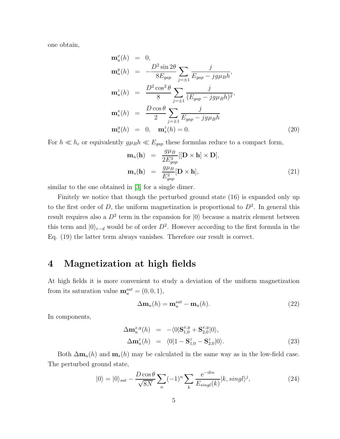one obtain,

$$
\mathbf{m}_u^x(h) = 0,
$$
  
\n
$$
\mathbf{m}_u^y(h) = -\frac{D^2 \sin 2\theta}{8E_{gap}} \sum_{j=\pm 1} \frac{j}{E_{gap} - jg\mu_B h},
$$
  
\n
$$
\mathbf{m}_u^z(h) = \frac{D^2 \cos^2 \theta}{8} \sum_{j=\pm 1} \frac{j}{(E_{gap} - jg\mu_B h)^2},
$$
  
\n
$$
\mathbf{m}_s^x(h) = \frac{D \cos \theta}{2} \sum_{j=\pm 1} \frac{j}{E_{gap} - jg\mu_B h}
$$
  
\n
$$
\mathbf{m}_s^y(h) = 0, \quad \mathbf{m}_s^z(h) = 0.
$$
\n(20)

For  $h \ll h_c$  or equivalently  $g\mu_B h \ll E_{gap}$  these formulas reduce to a compact form,

$$
\mathbf{m}_{u}(\mathbf{h}) = \frac{g\mu_B}{2E_{gap}^3} [[\mathbf{D} \times \mathbf{h}] \times \mathbf{D}],
$$
  

$$
\mathbf{m}_{s}(\mathbf{h}) = \frac{g\mu_B}{E_{gap}^2} [\mathbf{D} \times \mathbf{h}],
$$
 (21)

similar to the one obtained in [\[3\]](#page-6-2) for a single dimer.

Finitely we notice that though the perturbed ground state (16) is expanded only up to the first order of D, the uniform magnetization is proportional to  $D^2$ . In general this result requires also a  $D^2$  term in the expansion for  $|0\rangle$  because a matrix element between this term and  $|0\rangle_{r-d}$  would be of order  $D^2$ . However according to the first formula in the Eq. (19) the latter term always vanishes. Therefore our result is correct.

#### 4 Magnetization at high fields

At high fields it is more convenient to study a deviation of the uniform magnetization from its saturation value  $\mathbf{m}_u^{sat} = (0,0,1),$ 

$$
\Delta \mathbf{m}_u(h) = \mathbf{m}_u^{sat} - \mathbf{m}_u(h). \tag{22}
$$

In components,

$$
\Delta \mathbf{m}_u^{x,y}(h) = -\langle 0 | \mathbf{S}_{1,0}^{x,y} + \mathbf{S}_{2,0}^{x,y} | 0 \rangle, \n\Delta \mathbf{m}_u^z(h) = \langle 0 | 1 - \mathbf{S}_{1,0}^z - \mathbf{S}_{2,0}^z | 0 \rangle.
$$
\n(23)

Both  $\Delta m_u(h)$  and  $m_s(h)$  may be calculated in the same way as in the low-field case. The perturbed ground state,

$$
|0\rangle = |0\rangle_{sat} - \frac{D\cos\theta}{\sqrt{8N}}\sum_{n}(-1)^{n}\sum_{k}\frac{e^{-ikn}}{E_{singl}(k)}|k, singl\rangle^{j},\tag{24}
$$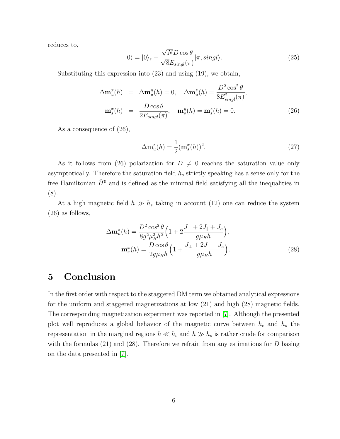reduces to,

$$
|0\rangle = |0\rangle_{s} - \frac{\sqrt{N}D\cos\theta}{\sqrt{8}E_{singl}(\pi)}|\pi, singl\rangle.
$$
 (25)

Substituting this expression into (23) and using (19), we obtain,

$$
\Delta \mathbf{m}_u^x(h) = \Delta \mathbf{m}_u^y(h) = 0, \quad \Delta \mathbf{m}_u^z(h) = \frac{D^2 \cos^2 \theta}{8E_{singl}^2(\pi)},
$$

$$
\mathbf{m}_s^x(h) = \frac{D \cos \theta}{2E_{singl}(\pi)}, \quad \mathbf{m}_s^y(h) = \mathbf{m}_s^z(h) = 0.
$$
(26)

As a consequence of (26),

$$
\Delta \mathbf{m}_u^z(h) = \frac{1}{2} (\mathbf{m}_s^x(h))^2.
$$
\n(27)

As it follows from (26) polarization for  $D \neq 0$  reaches the saturation value only asymptotically. Therefore the saturation field  $h_s$  strictly speaking has a sense only for the free Hamiltonian  $\hat{H}^0$  and is defined as the minimal field satisfying all the inequalities in (8).

At a high magnetic field  $h \gg h_s$  taking in account (12) one can reduce the system (26) as follows,

$$
\Delta \mathbf{m}_{u}^{z}(h) = \frac{D^{2} \cos^{2} \theta}{8g^{2} \mu_{B}^{2} h^{2}} \left( 1 + 2 \frac{J_{\perp} + 2J_{\parallel} + J_{c}}{g \mu_{B} h} \right),
$$

$$
\mathbf{m}_{s}^{x}(h) = \frac{D \cos \theta}{2g \mu_{B} h} \left( 1 + \frac{J_{\perp} + 2J_{\parallel} + J_{c}}{g \mu_{B} h} \right).
$$
(28)

#### 5 Conclusion

In the first order with respect to the staggered DM term we obtained analytical expressions for the uniform and staggered magnetizations at low (21) and high (28) magnetic fields. The corresponding magnetization experiment was reported in [\[7\]](#page-6-6). Although the presented plot well reproduces a global behavior of the magnetic curve between  $h_c$  and  $h_s$  the representation in the marginal regions  $h \ll h_c$  and  $h \gg h_s$  is rather crude for comparison with the formulas  $(21)$  and  $(28)$ . Therefore we refrain from any estimations for D basing on the data presented in [\[7\]](#page-6-6).